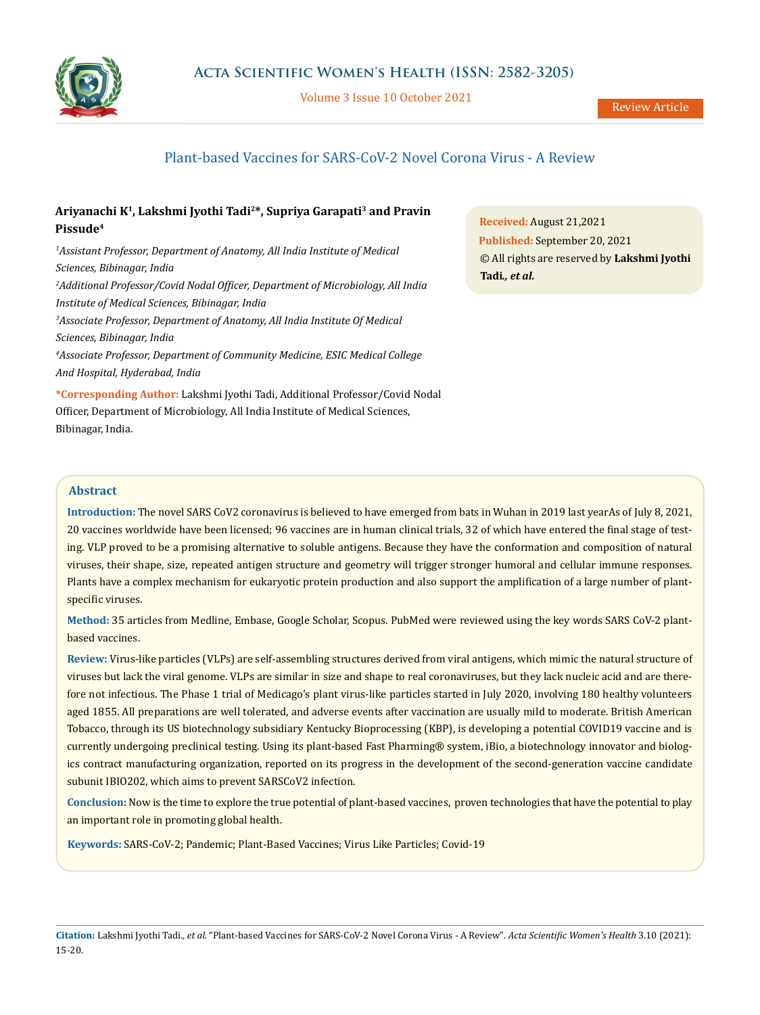

Volume 3 Issue 10 October 2021

# Plant-based Vaccines for SARS-CoV-2 Novel Corona Virus - A Review

# **Ariyanachi K1, Lakshmi Jyothi Tadi2\*, Supriya Garapati3 and Pravin Pissude4**

<sup>1</sup> Assistant Professor, Department of Anatomy, All India Institute of Medical *Sciences, Bibinagar, India 2 Additional Professor/Covid Nodal Officer, Department of Microbiology, All India Institute of Medical Sciences, Bibinagar, India* <sup>3</sup> Associate Professor, Department of Anatomy, All India Institute Of Medical *Sciences, Bibinagar, India 4 Associate Professor, Department of Community Medicine, ESIC Medical College And Hospital, Hyderabad, India*

**\*Corresponding Author:** Lakshmi Jyothi Tadi, Additional Professor/Covid Nodal Officer, Department of Microbiology, All India Institute of Medical Sciences, Bibinagar, India.

**Received:** August 21,2021 **Published:** September 20, 2021 © All rights are reserved by **Lakshmi Jyothi Tadi***., et al.*

### **Abstract**

**Introduction:** The novel SARS CoV2 coronavirus is believed to have emerged from bats in Wuhan in 2019 last yearAs of July 8, 2021, 20 vaccines worldwide have been licensed; 96 vaccines are in human clinical trials, 32 of which have entered the final stage of testing. VLP proved to be a promising alternative to soluble antigens. Because they have the conformation and composition of natural viruses, their shape, size, repeated antigen structure and geometry will trigger stronger humoral and cellular immune responses. Plants have a complex mechanism for eukaryotic protein production and also support the amplification of a large number of plantspecific viruses.

**Method:** 35 articles from Medline, Embase, Google Scholar, Scopus. PubMed were reviewed using the key words SARS CoV-2 plantbased vaccines.

**Review:** Virus-like particles (VLPs) are self-assembling structures derived from viral antigens, which mimic the natural structure of viruses but lack the viral genome. VLPs are similar in size and shape to real coronaviruses, but they lack nucleic acid and are therefore not infectious. The Phase 1 trial of Medicago's plant virus-like particles started in July 2020, involving 180 healthy volunteers aged 1855. All preparations are well tolerated, and adverse events after vaccination are usually mild to moderate. British American Tobacco, through its US biotechnology subsidiary Kentucky Bioprocessing (KBP), is developing a potential COVID19 vaccine and is currently undergoing preclinical testing. Using its plant-based Fast Pharming® system, iBio, a biotechnology innovator and biologics contract manufacturing organization, reported on its progress in the development of the second-generation vaccine candidate subunit IBIO202, which aims to prevent SARSCoV2 infection.

**Conclusion:** Now is the time to explore the true potential of plant-based vaccines, proven technologies that have the potential to play an important role in promoting global health.

**Keywords:** SARS-CoV-2; Pandemic; Plant-Based Vaccines; Virus Like Particles; Covid-19

**Citation:** Lakshmi Jyothi Tadi*., et al.* "Plant-based Vaccines for SARS-CoV-2 Novel Corona Virus - A Review". *Acta Scientific Women's Health* 3.10 (2021): 15-20.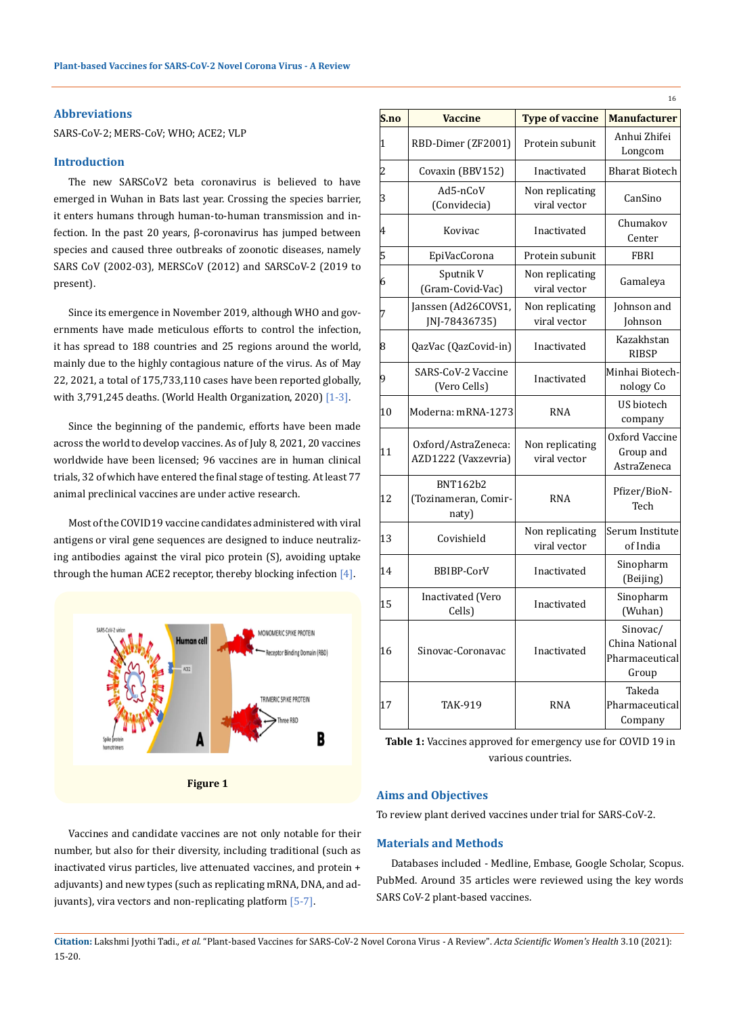### **Abbreviations**

SARS-CoV-2; MERS-CoV; WHO; ACE2; VLP

### **Introduction**

The new SARSCoV2 beta coronavirus is believed to have emerged in Wuhan in Bats last year. Crossing the species barrier, it enters humans through human-to-human transmission and infection. In the past 20 years, β-coronavirus has jumped between species and caused three outbreaks of zoonotic diseases, namely SARS CoV (2002-03), MERSCoV (2012) and SARSCoV-2 (2019 to present).

Since its emergence in November 2019, although WHO and governments have made meticulous efforts to control the infection, it has spread to 188 countries and 25 regions around the world, mainly due to the highly contagious nature of the virus. As of May 22, 2021, a total of 175,733,110 cases have been reported globally, with 3,791,245 deaths. (World Health Organization, 2020) [1-3].

Since the beginning of the pandemic, efforts have been made across the world to develop vaccines. As of July 8, 2021, 20 vaccines worldwide have been licensed; 96 vaccines are in human clinical trials, 32 of which have entered the final stage of testing. At least 77 animal preclinical vaccines are under active research.

Most of the COVID19 vaccine candidates administered with viral antigens or viral gene sequences are designed to induce neutralizing antibodies against the viral pico protein (S), avoiding uptake through the human ACE2 receptor, thereby blocking infection  $[4]$ .



**Figure 1**

Vaccines and candidate vaccines are not only notable for their number, but also for their diversity, including traditional (such as inactivated virus particles, live attenuated vaccines, and protein + adjuvants) and new types (such as replicating mRNA, DNA, and adjuvants), vira vectors and non-replicating platform [5-7].

| S.no         | <b>Vaccine</b>                                   | <b>Type of vaccine</b>          | <b>Manufacturer</b>                                   |  |  |
|--------------|--------------------------------------------------|---------------------------------|-------------------------------------------------------|--|--|
|              |                                                  |                                 |                                                       |  |  |
| $\mathbf{1}$ | RBD-Dimer (ZF2001)                               | Protein subunit                 | Anhui Zhifei<br>Longcom                               |  |  |
| 2            | Covaxin (BBV152)                                 | Inactivated                     | <b>Bharat Biotech</b>                                 |  |  |
| 3            | Ad5-nCoV<br>(Convidecia)                         | Non replicating<br>viral vector | CanSino                                               |  |  |
| 4            | Kovivac                                          | Inactivated                     | Chumakov<br>Center                                    |  |  |
| 5            | EpiVacCorona                                     | Protein subunit                 | FBRI                                                  |  |  |
| 6            | Sputnik V<br>(Gram-Covid-Vac)                    | Non replicating<br>viral vector | Gamaleya                                              |  |  |
| 7            | Janssen (Ad26COVS1,<br>JNJ-78436735)             | Non replicating<br>viral vector | Johnson and<br>Johnson                                |  |  |
| 8            | QazVac (QazCovid-in)                             | Inactivated                     | Kazakhstan<br><b>RIBSP</b>                            |  |  |
| 9            | SARS-CoV-2 Vaccine<br>(Vero Cells)               | Inactivated                     | Minhai Biotech-<br>nology Co                          |  |  |
| 10           | Moderna: mRNA-1273                               | <b>RNA</b>                      | US biotech<br>company                                 |  |  |
| 11           | Oxford/AstraZeneca:<br>AZD1222 (Vaxzevria)       | Non replicating<br>viral vector | Oxford Vaccine<br>Group and<br>AstraZeneca            |  |  |
| 12           | <b>BNT162b2</b><br>(Tozinameran, Comir-<br>naty) | <b>RNA</b>                      | Pfizer/BioN-<br>Tech                                  |  |  |
| 13           | Covishield                                       | Non replicating<br>viral vector | Serum Institute<br>of India                           |  |  |
| 14           | BBIBP-CorV                                       | Inactivated                     | Sinopharm<br>(Beijing)                                |  |  |
| 15           | Inactivated (Vero<br>Cells)                      | Inactivated                     | Sinopharm<br>(Wuhan)                                  |  |  |
| 16           | Sinovac-Coronavac                                | Inactivated                     | Sinovac/<br>China National<br>Pharmaceutical<br>Group |  |  |
| 17           | <b>TAK-919</b>                                   | <b>RNA</b>                      | Takeda<br>Pharmaceutical<br>Company                   |  |  |

**Table 1:** Vaccines approved for emergency use for COVID 19 in various countries.

# **Aims and Objectives**

To review plant derived vaccines under trial for SARS-CoV-2.

# **Materials and Methods**

Databases included - Medline, Embase, Google Scholar, Scopus. PubMed. Around 35 articles were reviewed using the key words SARS CoV-2 plant-based vaccines.

**Citation:** Lakshmi Jyothi Tadi*., et al.* "Plant-based Vaccines for SARS-CoV-2 Novel Corona Virus - A Review". *Acta Scientific Women's Health* 3.10 (2021): 15-20.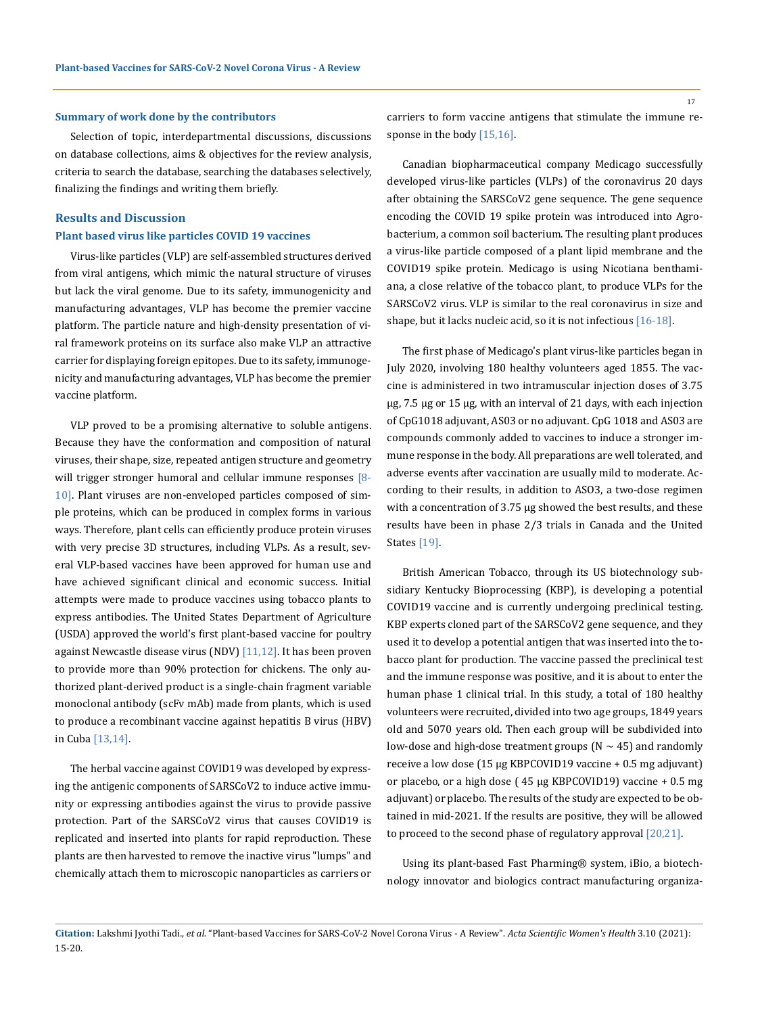#### **Summary of work done by the contributors**

Selection of topic, interdepartmental discussions, discussions on database collections, aims & objectives for the review analysis, criteria to search the database, searching the databases selectively, finalizing the findings and writing them briefly.

# **Results and Discussion Plant based virus like particles COVID 19 vaccines**

Virus-like particles (VLP) are self-assembled structures derived from viral antigens, which mimic the natural structure of viruses but lack the viral genome. Due to its safety, immunogenicity and manufacturing advantages, VLP has become the premier vaccine platform. The particle nature and high-density presentation of viral framework proteins on its surface also make VLP an attractive carrier for displaying foreign epitopes. Due to its safety, immunogenicity and manufacturing advantages, VLP has become the premier vaccine platform.

VLP proved to be a promising alternative to soluble antigens. Because they have the conformation and composition of natural viruses, their shape, size, repeated antigen structure and geometry will trigger stronger humoral and cellular immune responses [8-10]. Plant viruses are non-enveloped particles composed of simple proteins, which can be produced in complex forms in various ways. Therefore, plant cells can efficiently produce protein viruses with very precise 3D structures, including VLPs. As a result, several VLP-based vaccines have been approved for human use and have achieved significant clinical and economic success. Initial attempts were made to produce vaccines using tobacco plants to express antibodies. The United States Department of Agriculture (USDA) approved the world's first plant-based vaccine for poultry against Newcastle disease virus (NDV)  $[11,12]$ . It has been proven to provide more than 90% protection for chickens. The only authorized plant-derived product is a single-chain fragment variable monoclonal antibody (scFv mAb) made from plants, which is used to produce a recombinant vaccine against hepatitis B virus (HBV) in Cuba [13,14].

The herbal vaccine against COVID19 was developed by expressing the antigenic components of SARSCoV2 to induce active immunity or expressing antibodies against the virus to provide passive protection. Part of the SARSCoV2 virus that causes COVID19 is replicated and inserted into plants for rapid reproduction. These plants are then harvested to remove the inactive virus "lumps" and chemically attach them to microscopic nanoparticles as carriers or carriers to form vaccine antigens that stimulate the immune response in the body [15,16].

Canadian biopharmaceutical company Medicago successfully developed virus-like particles (VLPs) of the coronavirus 20 days after obtaining the SARSCoV2 gene sequence. The gene sequence encoding the COVID 19 spike protein was introduced into Agrobacterium, a common soil bacterium. The resulting plant produces a virus-like particle composed of a plant lipid membrane and the COVID19 spike protein. Medicago is using Nicotiana benthamiana, a close relative of the tobacco plant, to produce VLPs for the SARSCoV2 virus. VLP is similar to the real coronavirus in size and shape, but it lacks nucleic acid, so it is not infectious [16-18].

The first phase of Medicago's plant virus-like particles began in July 2020, involving 180 healthy volunteers aged 1855. The vaccine is administered in two intramuscular injection doses of 3.75 µg, 7.5 µg or 15 µg, with an interval of 21 days, with each injection of CpG1018 adjuvant, AS03 or no adjuvant. CpG 1018 and AS03 are compounds commonly added to vaccines to induce a stronger immune response in the body. All preparations are well tolerated, and adverse events after vaccination are usually mild to moderate. According to their results, in addition to ASO3, a two-dose regimen with a concentration of 3.75 μg showed the best results, and these results have been in phase 2/3 trials in Canada and the United States [19].

British American Tobacco, through its US biotechnology subsidiary Kentucky Bioprocessing (KBP), is developing a potential COVID19 vaccine and is currently undergoing preclinical testing. KBP experts cloned part of the SARSCoV2 gene sequence, and they used it to develop a potential antigen that was inserted into the tobacco plant for production. The vaccine passed the preclinical test and the immune response was positive, and it is about to enter the human phase 1 clinical trial. In this study, a total of 180 healthy volunteers were recruited, divided into two age groups, 1849 years old and 5070 years old. Then each group will be subdivided into low-dose and high-dose treatment groups ( $N \sim 45$ ) and randomly receive a low dose (15 μg KBPCOVID19 vaccine + 0.5 mg adjuvant) or placebo, or a high dose ( 45 μg KBPCOVID19) vaccine + 0.5 mg adjuvant) or placebo. The results of the study are expected to be obtained in mid-2021. If the results are positive, they will be allowed to proceed to the second phase of regulatory approval [20,21].

Using its plant-based Fast Pharming® system, iBio, a biotechnology innovator and biologics contract manufacturing organiza-

17

**Citation:** Lakshmi Jyothi Tadi*., et al.* "Plant-based Vaccines for SARS-CoV-2 Novel Corona Virus - A Review". *Acta Scientific Women's Health* 3.10 (2021): 15-20.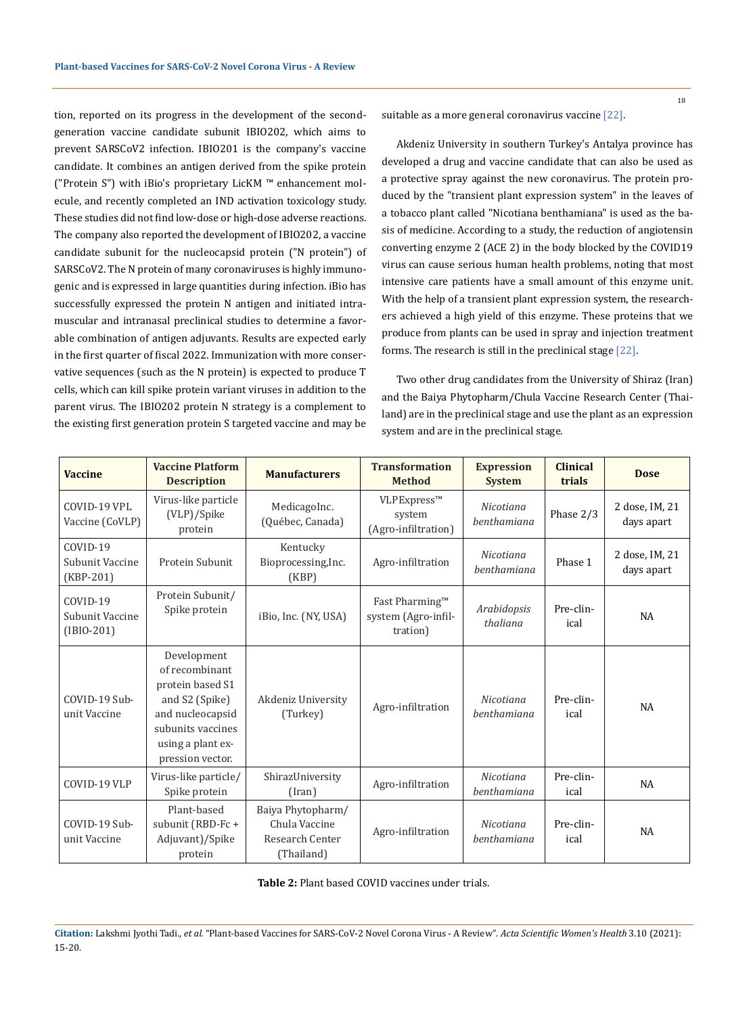tion, reported on its progress in the development of the secondgeneration vaccine candidate subunit IBIO202, which aims to prevent SARSCoV2 infection. IBIO201 is the company's vaccine candidate. It combines an antigen derived from the spike protein ("Protein S") with iBio's proprietary LicKM ™ enhancement molecule, and recently completed an IND activation toxicology study. These studies did not find low-dose or high-dose adverse reactions. The company also reported the development of IBIO202, a vaccine candidate subunit for the nucleocapsid protein ("N protein") of SARSCoV2. The N protein of many coronaviruses is highly immunogenic and is expressed in large quantities during infection. iBio has successfully expressed the protein N antigen and initiated intramuscular and intranasal preclinical studies to determine a favorable combination of antigen adjuvants. Results are expected early in the first quarter of fiscal 2022. Immunization with more conservative sequences (such as the N protein) is expected to produce T cells, which can kill spike protein variant viruses in addition to the parent virus. The IBIO202 protein N strategy is a complement to the existing first generation protein S targeted vaccine and may be suitable as a more general coronavirus vaccine [22].

Akdeniz University in southern Turkey's Antalya province has developed a drug and vaccine candidate that can also be used as a protective spray against the new coronavirus. The protein produced by the "transient plant expression system" in the leaves of a tobacco plant called "Nicotiana benthamiana" is used as the basis of medicine. According to a study, the reduction of angiotensin converting enzyme 2 (ACE 2) in the body blocked by the COVID19 virus can cause serious human health problems, noting that most intensive care patients have a small amount of this enzyme unit. With the help of a transient plant expression system, the researchers achieved a high yield of this enzyme. These proteins that we produce from plants can be used in spray and injection treatment forms. The research is still in the preclinical stage [22].

Two other drug candidates from the University of Shiraz (Iran) and the Baiya Phytopharm/Chula Vaccine Research Center (Thailand) are in the preclinical stage and use the plant as an expression system and are in the preclinical stage.

| <b>Vaccine</b>                                | <b>Vaccine Platform</b><br><b>Description</b>                                                                                                         | <b>Manufacturers</b>                                                | <b>Transformation</b><br><b>Method</b>            | <b>Expression</b><br><b>System</b> | <b>Clinical</b><br>trials | <b>Dose</b>                  |
|-----------------------------------------------|-------------------------------------------------------------------------------------------------------------------------------------------------------|---------------------------------------------------------------------|---------------------------------------------------|------------------------------------|---------------------------|------------------------------|
| COVID-19 VPL<br>Vaccine (CoVLP)               | Virus-like particle<br>(VLP)/Spike<br>protein                                                                                                         | MedicagoInc.<br>(Québec, Canada)                                    | VLPExpress™<br>system<br>(Agro-infiltration)      | Nicotiana<br>benthamiana           | Phase 2/3                 | 2 dose, IM, 21<br>days apart |
| COVID-19<br>Subunit Vaccine<br>$(KBP-201)$    | Protein Subunit                                                                                                                                       | Kentucky<br>Bioprocessing, Inc.<br>(KBP)                            | Agro-infiltration                                 | Nicotiana<br>benthamiana           | Phase 1                   | 2 dose, IM, 21<br>days apart |
| $COVID-19$<br>Subunit Vaccine<br>$(IBIO-201)$ | Protein Subunit/<br>Spike protein                                                                                                                     | iBio, Inc. (NY, USA)                                                | Fast Pharming™<br>system (Agro-infil-<br>tration) | Arabidopsis<br>thaliana            | Pre-clin-<br>ical         | NA                           |
| COVID-19 Sub-<br>unit Vaccine                 | Development<br>of recombinant<br>protein based S1<br>and S2 (Spike)<br>and nucleocapsid<br>subunits vaccines<br>using a plant ex-<br>pression vector. | Akdeniz University<br>(Turkey)                                      | Agro-infiltration                                 | Nicotiana<br>benthamiana           | Pre-clin-<br>ical         | <b>NA</b>                    |
| COVID-19 VLP                                  | Virus-like particle/<br>Spike protein                                                                                                                 | ShirazUniversity<br>(Iran)                                          | Agro-infiltration                                 | Nicotiana<br>benthamiana           | Pre-clin-<br>ical         | <b>NA</b>                    |
| COVID-19 Sub-<br>unit Vaccine                 | Plant-based<br>subunit (RBD-Fc+<br>Adjuvant)/Spike<br>protein                                                                                         | Baiya Phytopharm/<br>Chula Vaccine<br>Research Center<br>(Thailand) | Agro-infiltration                                 | Nicotiana<br>benthamiana           | Pre-clin-<br>ical         | <b>NA</b>                    |

**Table 2:** Plant based COVID vaccines under trials.

**Citation:** Lakshmi Jyothi Tadi*., et al.* "Plant-based Vaccines for SARS-CoV-2 Novel Corona Virus - A Review". *Acta Scientific Women's Health* 3.10 (2021): 15-20.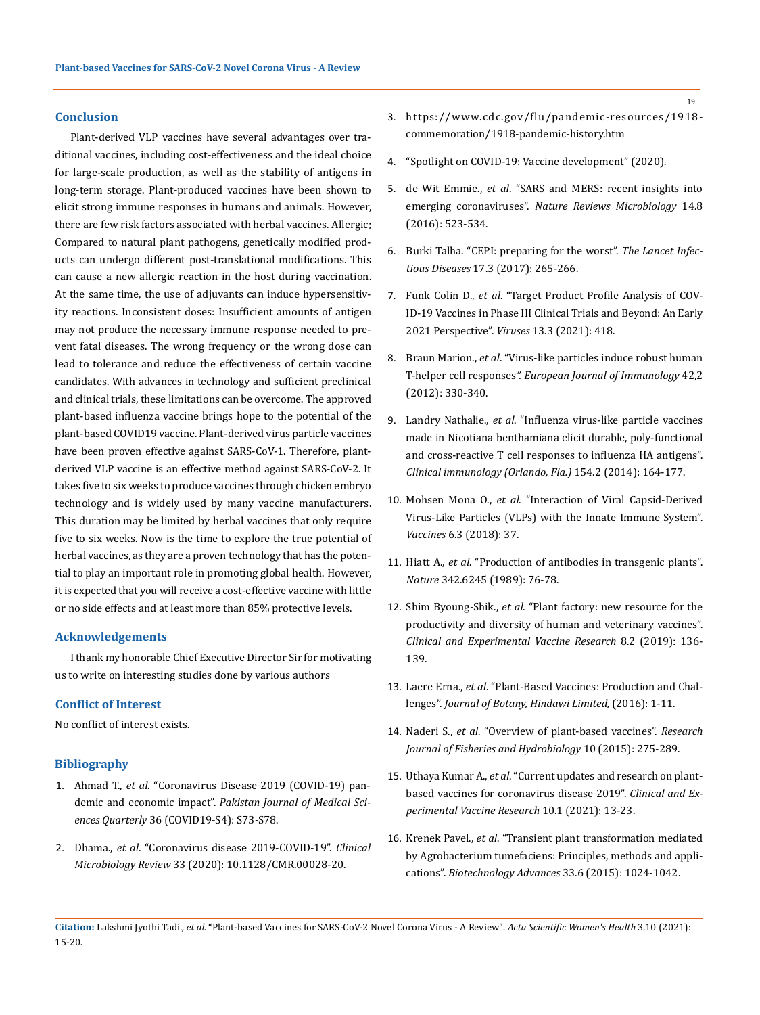### **Conclusion**

Plant-derived VLP vaccines have several advantages over traditional vaccines, including cost-effectiveness and the ideal choice for large-scale production, as well as the stability of antigens in long-term storage. Plant-produced vaccines have been shown to elicit strong immune responses in humans and animals. However, there are few risk factors associated with herbal vaccines. Allergic; Compared to natural plant pathogens, genetically modified products can undergo different post-translational modifications. This can cause a new allergic reaction in the host during vaccination. At the same time, the use of adjuvants can induce hypersensitivity reactions. Inconsistent doses: Insufficient amounts of antigen may not produce the necessary immune response needed to prevent fatal diseases. The wrong frequency or the wrong dose can lead to tolerance and reduce the effectiveness of certain vaccine candidates. With advances in technology and sufficient preclinical and clinical trials, these limitations can be overcome. The approved plant-based influenza vaccine brings hope to the potential of the plant-based COVID19 vaccine. Plant-derived virus particle vaccines have been proven effective against SARS-CoV-1. Therefore, plantderived VLP vaccine is an effective method against SARS-CoV-2. It takes five to six weeks to produce vaccines through chicken embryo technology and is widely used by many vaccine manufacturers. This duration may be limited by herbal vaccines that only require five to six weeks. Now is the time to explore the true potential of herbal vaccines, as they are a proven technology that has the potential to play an important role in promoting global health. However, it is expected that you will receive a cost-effective vaccine with little or no side effects and at least more than 85% protective levels.

## **Acknowledgements**

I thank my honorable Chief Executive Director Sir for motivating us to write on interesting studies done by various authors

# **Conflict of Interest**

No conflict of interest exists.

### **Bibliography**

- 1. Ahmad T., *et al*[. "Coronavirus Disease 2019 \(COVID-19\) pan](https://www.ncbi.nlm.nih.gov/pmc/articles/PMC7306969/)demic and economic impact". *[Pakistan Journal of Medical Sci](https://www.ncbi.nlm.nih.gov/pmc/articles/PMC7306969/)ences Quarterly* [36 \(COVID19-S4\): S73-S78.](https://www.ncbi.nlm.nih.gov/pmc/articles/PMC7306969/)
- 2. Dhama., *et al*[. "Coronavirus disease 2019-COVID-19".](https://scholar.google.co.in/scholar?q=Coronavirus+disease+2019-COVID-19.+Clin+Microbiol+Rev.+2020,+33:10.1128/CMR.00028-20&hl=en&as_sdt=0&as_vis=1&oi=scholart) *Clinical Microbiology Review* [33 \(2020\): 10.1128/CMR.00028-20.](https://scholar.google.co.in/scholar?q=Coronavirus+disease+2019-COVID-19.+Clin+Microbiol+Rev.+2020,+33:10.1128/CMR.00028-20&hl=en&as_sdt=0&as_vis=1&oi=scholart)
- 3. [https://www.cdc.gov/flu/pandemic-resources/1918](https://www.cdc.gov/flu/pandemic-resources/1918-commemoration/1918-pandemic-history.htm) [commemoration/1918-pandemic-history.htm](https://www.cdc.gov/flu/pandemic-resources/1918-commemoration/1918-pandemic-history.htm)
- 4. ["Spotlight on COVID-19: Vaccine development" \(2020\).](https://www.invivogen.com/spotlight-covid-19-vaccine-development)
- 5. de Wit Emmie., *et al*[. "SARS and MERS: recent insights into](https://pubmed.ncbi.nlm.nih.gov/27344959/)  emerging coronaviruses". *[Nature Reviews Microbiology](https://pubmed.ncbi.nlm.nih.gov/27344959/)* 14.8 [\(2016\): 523-534.](https://pubmed.ncbi.nlm.nih.gov/27344959/)
- 6. [Burki Talha. "CEPI: preparing for the worst".](https://www.ncbi.nlm.nih.gov/pmc/articles/PMC7129858/) *The Lancet Infectious Diseases* [17.3 \(2017\): 265-266.](https://www.ncbi.nlm.nih.gov/pmc/articles/PMC7129858/)
- 7. Funk Colin D., *et al*[. "Target Product Profile Analysis of COV](https://www.mdpi.com/1999-4915/13/3/418)-[ID-19 Vaccines in Phase III Clinical Trials and Beyond: An Early](https://www.mdpi.com/1999-4915/13/3/418)  [2021 Perspective".](https://www.mdpi.com/1999-4915/13/3/418) *Viruses* 13.3 (2021): 418.
- 8. Braun Marion., *et al*[. "Virus-like particles induce robust human](https://pubmed.ncbi.nlm.nih.gov/22057679/)  T-helper cell responses*[". European Journal of Immunology](https://pubmed.ncbi.nlm.nih.gov/22057679/)* 42,2 [\(2012\): 330-340.](https://pubmed.ncbi.nlm.nih.gov/22057679/)
- 9. Landry Nathalie., *et al*[. "Influenza virus-like particle vaccines](https://pubmed.ncbi.nlm.nih.gov/25128897/)  [made in Nicotiana benthamiana elicit durable, poly-functional](https://pubmed.ncbi.nlm.nih.gov/25128897/)  [and cross-reactive T cell responses to influenza HA antigens".](https://pubmed.ncbi.nlm.nih.gov/25128897/)  *[Clinical immunology \(Orlando, Fla.\)](https://pubmed.ncbi.nlm.nih.gov/25128897/)* 154.2 (2014): 164-177.
- 10. Mohsen Mona O., *et al*[. "Interaction of Viral Capsid-Derived](https://www.ncbi.nlm.nih.gov/pmc/articles/PMC6161069/)  [Virus-Like Particles \(VLPs\) with the Innate Immune System".](https://www.ncbi.nlm.nih.gov/pmc/articles/PMC6161069/)  *Vaccines* [6.3 \(2018\): 37.](https://www.ncbi.nlm.nih.gov/pmc/articles/PMC6161069/)
- 11. Hiatt A., *et al*[. "Production of antibodies in transgenic plants".](https://pubmed.ncbi.nlm.nih.gov/2509938/)  *Nature* [342.6245 \(1989\): 76-78.](https://pubmed.ncbi.nlm.nih.gov/2509938/)
- 12. Shim Byoung-Shik., *et al*[. "Plant factory: new resource for the](https://www.ncbi.nlm.nih.gov/pmc/articles/PMC6689501/)  [productivity and diversity of human and veterinary vaccines".](https://www.ncbi.nlm.nih.gov/pmc/articles/PMC6689501/)  *[Clinical and Experimental Vaccine Research](https://www.ncbi.nlm.nih.gov/pmc/articles/PMC6689501/)* 8.2 (2019): 136- [139.](https://www.ncbi.nlm.nih.gov/pmc/articles/PMC6689501/)
- 13. Laere Erna., *et al*[. "Plant-Based Vaccines: Production and Chal](https://www.hindawi.com/journals/jb/2016/4928637/)lenges". *[Journal of Botany, Hindawi Limited,](https://www.hindawi.com/journals/jb/2016/4928637/)* (2016): 1-11.
- 14. Naderi S., *et al*[. "Overview of plant-based vaccines".](http://www.aensiweb.net/AENSIWEB/rjfh/rjfh/2015/June/275-289.pdf) *Research [Journal of Fisheries and Hydrobiology](http://www.aensiweb.net/AENSIWEB/rjfh/rjfh/2015/June/275-289.pdf)* 10 (2015): 275-289.
- 15. Uthaya Kumar A., *et al*[. "Current updates and research on plant](https://europepmc.org/article/pmc/pmc7892944)[based vaccines for coronavirus disease 2019".](https://europepmc.org/article/pmc/pmc7892944) *Clinical and Ex[perimental Vaccine Research](https://europepmc.org/article/pmc/pmc7892944)* 10.1 (2021): 13-23.
- 16. Krenek Pavel., *et al*[. "Transient plant transformation mediated](https://pubmed.ncbi.nlm.nih.gov/25819757/)  [by Agrobacterium tumefaciens: Principles, methods and appli](https://pubmed.ncbi.nlm.nih.gov/25819757/)cations". *[Biotechnology Advances](https://pubmed.ncbi.nlm.nih.gov/25819757/)* 33.6 (2015): 1024-1042.

19

**Citation:** Lakshmi Jyothi Tadi*., et al.* "Plant-based Vaccines for SARS-CoV-2 Novel Corona Virus - A Review". *Acta Scientific Women's Health* 3.10 (2021): 15-20.